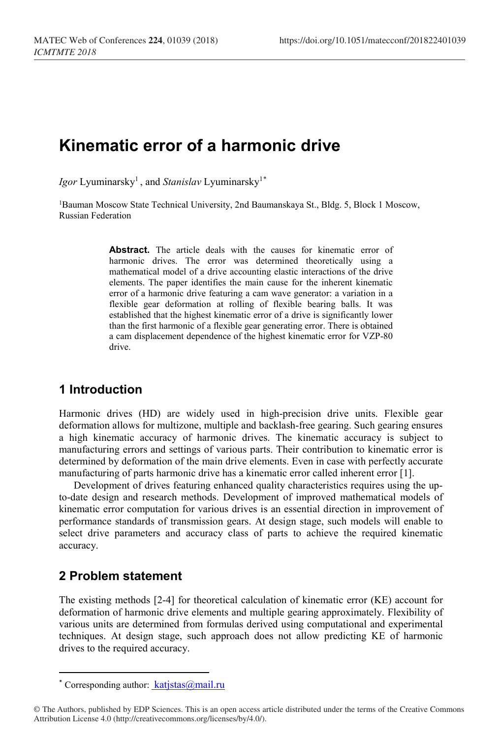# **Kinematic error of a harmonic drive**

*Igor* Lyuminarsky<sup>1</sup>, and *Stanislav* Lyuminarsky<sup>1[\\*](#page-0-0)</sup>

1Bauman Moscow State Technical University, 2nd Baumanskaya St., Bldg. 5, Block 1 Moscow, Russian Federation

> Abstract. The article deals with the causes for kinematic error of harmonic drives. The error was determined theoretically using a mathematical model of a drive accounting elastic interactions of the drive elements. The paper identifies the main cause for the inherent kinematic error of a harmonic drive featuring a cam wave generator: a variation in a flexible gear deformation at rolling of flexible bearing balls. It was established that the highest kinematic error of a drive is significantly lower than the first harmonic of a flexible gear generating error. There is obtained a cam displacement dependence of the highest kinematic error for VZP-80 drive.

#### **1 Introduction**

Harmonic drives (HD) are widely used in high-precision drive units. Flexible gear deformation allows for multizone, multiple and backlash-free gearing. Such gearing ensures a high kinematic accuracy of harmonic drives. The kinematic accuracy is subject to manufacturing errors and settings of various parts. Their contribution to kinematic error is determined by deformation of the main drive elements. Even in case with perfectly accurate manufacturing of parts harmonic drive has a kinematic error called inherent error [1].

Development of drives featuring enhanced quality characteristics requires using the upto-date design and research methods. Development of improved mathematical models of kinematic error computation for various drives is an essential direction in improvement of performance standards of transmission gears. At design stage, such models will enable to select drive parameters and accuracy class of parts to achieve the required kinematic accuracy.

## **2 Problem statement**

 $\overline{\phantom{a}}$ 

The existing methods [2-4] for theoretical calculation of kinematic error (KE) account for deformation of harmonic drive elements and multiple gearing approximately. Flexibility of various units are determined from formulas derived using computational and experimental techniques. At design stage, such approach does not allow predicting KE of harmonic drives to the required accuracy.

<sup>\*</sup> Corresponding author:  $katisfus@mail.ru$ 

<span id="page-0-0"></span><sup>©</sup> The Authors, published by EDP Sciences. This is an open access article distributed under the terms of the Creative Commons Attribution License 4.0 (http://creativecommons.org/licenses/by/4.0/).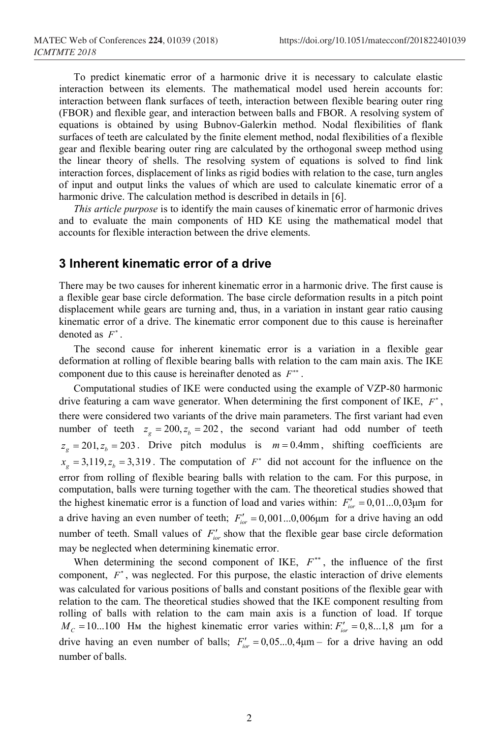To predict kinematic error of a harmonic drive it is necessary to calculate elastic interaction between its elements. The mathematical model used herein accounts for: interaction between flank surfaces of teeth, interaction between flexible bearing outer ring (FBOR) and flexible gear, and interaction between balls and FBOR. A resolving system of equations is obtained by using Bubnov-Galerkin method. Nodal flexibilities of flank surfaces of teeth are calculated by the finite element method, nodal flexibilities of a flexible gear and flexible bearing outer ring are calculated by the orthogonal sweep method using the linear theory of shells. The resolving system of equations is solved to find link interaction forces, displacement of links as rigid bodies with relation to the case, turn angles of input and output links the values of which are used to calculate kinematic error of a harmonic drive. The calculation method is described in details in [6].

*This article purpose* is to identify the main causes of kinematic error of harmonic drives and to evaluate the main components of HD KE using the mathematical model that accounts for flexible interaction between the drive elements.

#### **3 Inherent kinematic error of a drive**

There may be two causes for inherent kinematic error in a harmonic drive. The first cause is a flexible gear base circle deformation. The base circle deformation results in a pitch point displacement while gears are turning and, thus, in a variation in instant gear ratio causing kinematic error of a drive. The kinematic error component due to this cause is hereinafter denoted as *F*<sup>∗</sup> .

The second cause for inherent kinematic error is a variation in a flexible gear deformation at rolling of flexible bearing balls with relation to the cam main axis. The IKE component due to this cause is hereinafter denoted as *F*∗∗ .

Computational studies of IKE were conducted using the example of VZP-80 harmonic drive featuring a cam wave generator. When determining the first component of IKE, *F*<sup>∗</sup> , there were considered two variants of the drive main parameters. The first variant had even number of teeth  $z_g = 200, z_b = 202$ , the second variant had odd number of teeth  $z_g = 201, z_b = 203$ . Drive pitch modulus is  $m = 0.4$ mm, shifting coefficients are  $x<sub>e</sub> = 3,119, z<sub>b</sub> = 3,319$ . The computation of  $F<sup>*</sup>$  did not account for the influence on the error from rolling of flexible bearing balls with relation to the cam. For this purpose, in computation, balls were turning together with the cam. The theoretical studies showed that the highest kinematic error is a function of load and varies within:  $F_{\text{irr}}' = 0.01...0.03 \mu m$  for a drive having an even number of teeth;  $F'_{\text{tor}} = 0.001...0.006\mu$ m for a drive having an odd number of teeth. Small values of  $F'_{\text{tor}}$  show that the flexible gear base circle deformation may be neglected when determining kinematic error.

When determining the second component of IKE, *F*∗∗ , the influence of the first component, *F*<sup>∗</sup>, was neglected. For this purpose, the elastic interaction of drive elements was calculated for various positions of balls and constant positions of the flexible gear with relation to the cam. The theoretical studies showed that the IKE component resulting from rolling of balls with relation to the cam main axis is a function of load. If torque  $M_c = 10...100$  Hm the highest kinematic error varies within:  $F'_{\text{tor}} = 0, 8...1, 8$  µm for a drive having an even number of balls;  $F'_{\text{irr}} = 0.05...0,4\mu$ m – for a drive having an odd number of balls.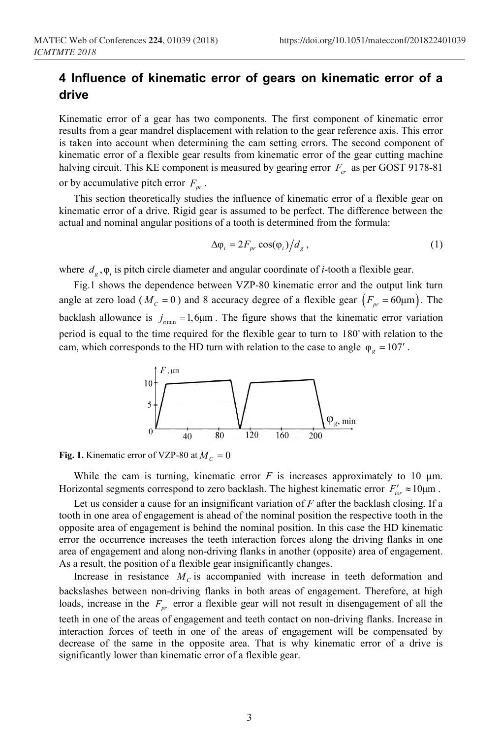## **4 Influence of kinematic error of gears on kinematic error of a drive**

Kinematic error of a gear has two components. The first component of kinematic error results from a gear mandrel displacement with relation to the gear reference axis. This error is taken into account when determining the cam setting errors. The second component of kinematic error of a flexible gear results from kinematic error of the gear cutting machine halving circuit. This KE component is measured by gearing error  $F_{cr}$  as per GOST 9178-81 or by accumulative pitch error  $F_{pr}$ .

This section theoretically studies the influence of kinematic error of a flexible gear on kinematic error of a drive. Rigid gear is assumed to be perfect. The difference between the actual and nominal angular positions of a tooth is determined from the formula:

$$
\Delta \varphi_i = 2F_{pr} \cos(\varphi_i) / d_g , \qquad (1)
$$

where *d<sub>o</sub>*, φ<sub>i</sub> is pitch circle diameter and angular coordinate of *i*-tooth a flexible gear.

Fig.1 shows the dependence between VZP-80 kinematic error and the output link turn angle at zero load ( $M_c = 0$ ) and 8 accuracy degree of a flexible gear  $(F_p = 60 \mu m)$ . The backlash allowance is  $j_{nmin} = 1,6\mu$ m. The figure shows that the kinematic error variation period is equal to the time required for the flexible gear to turn to 180 with relation to the cam, which corresponds to the HD turn with relation to the case to angle  $\varphi$ <sub>p</sub> = 107'.



**Fig.** 1. Kinematic error of VZP-80 at  $M<sub>C</sub> = 0$ 

While the cam is turning, kinematic error  $F$  is increases approximately to 10  $\mu$ m. Horizontal segments correspond to zero backlash. The highest kinematic error  $F_{i\alpha}$ <sup>'</sup> ≈ 10 $\mu$ m.

Let us consider a cause for an insignificant variation of *F* after the backlash closing. If a tooth in one area of engagement is ahead of the nominal position the respective tooth in the opposite area of engagement is behind the nominal position. In this case the HD kinematic error the occurrence increases the teeth interaction forces along the driving flanks in one area of engagement and along non-driving flanks in another (opposite) area of engagement. As a result, the position of a flexible gear insignificantly changes.

Increase in resistance  $M_c$  is accompanied with increase in teeth deformation and backslashes between non-driving flanks in both areas of engagement. Therefore, at high loads, increase in the  $F_{pr}$  error a flexible gear will not result in disengagement of all the teeth in one of the areas of engagement and teeth contact on non-driving flanks. Increase in interaction forces of teeth in one of the areas of engagement will be compensated by decrease of the same in the opposite area. That is why kinematic error of a drive is significantly lower than kinematic error of a flexible gear.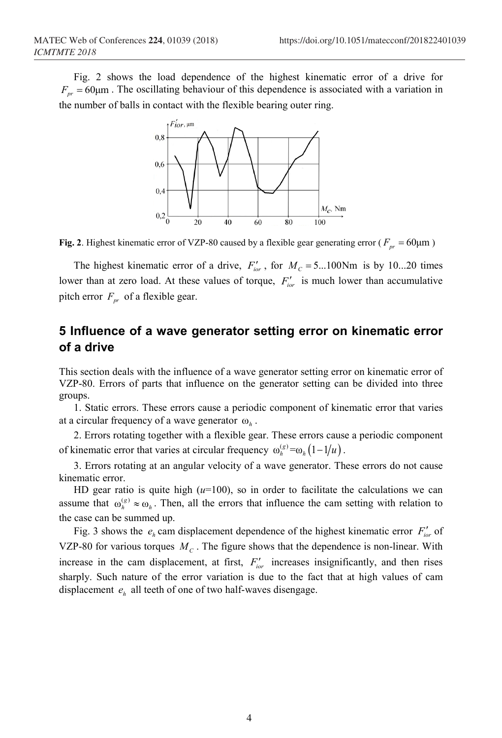Fig. 2 shows the load dependence of the highest kinematic error of a drive for  $F_{pr} = 60 \mu m$ . The oscillating behaviour of this dependence is associated with a variation in the number of balls in contact with the flexible bearing outer ring.



**Fig. 2**. Highest kinematic error of VZP-80 caused by a flexible gear generating error ( $F_{pr} = 60 \mu m$ )

The highest kinematic error of a drive,  $F'_{\text{tor}}$ , for  $M_C = 5 \dots 100 \text{Nm}$  is by 10...20 times lower than at zero load. At these values of torque,  $F'_{\text{tor}}$  is much lower than accumulative pitch error  $F_{pr}$  of a flexible gear.

# **5 Influence of a wave generator setting error on kinematic error of a drive**

This section deals with the influence of a wave generator setting error on kinematic error of VZP-80. Errors of parts that influence on the generator setting can be divided into three groups.

1. Static errors. These errors cause a periodic component of kinematic error that varies at a circular frequency of a wave generator ω*<sup>h</sup>* .

2. Errors rotating together with a flexible gear. These errors cause a periodic component of kinematic error that varies at circular frequency  $\omega_h^{(g)} = \omega_h \left( 1 - 1/u \right)$ .

3. Errors rotating at an angular velocity of a wave generator. These errors do not cause kinematic error.

HD gear ratio is quite high  $(u=100)$ , so in order to facilitate the calculations we can assume that  $\omega_h^{(g)} \approx \omega_h$ . Then, all the errors that influence the cam setting with relation to the case can be summed up.

Fig. 3 shows the  $e_i$  cam displacement dependence of the highest kinematic error  $F'_{i\alpha}$  of VZP-80 for various torques  $M<sub>C</sub>$ . The figure shows that the dependence is non-linear. With increase in the cam displacement, at first,  $F_{ior}$  increases insignificantly, and then rises sharply. Such nature of the error variation is due to the fact that at high values of cam displacement  $e_h$  all teeth of one of two half-waves disengage.